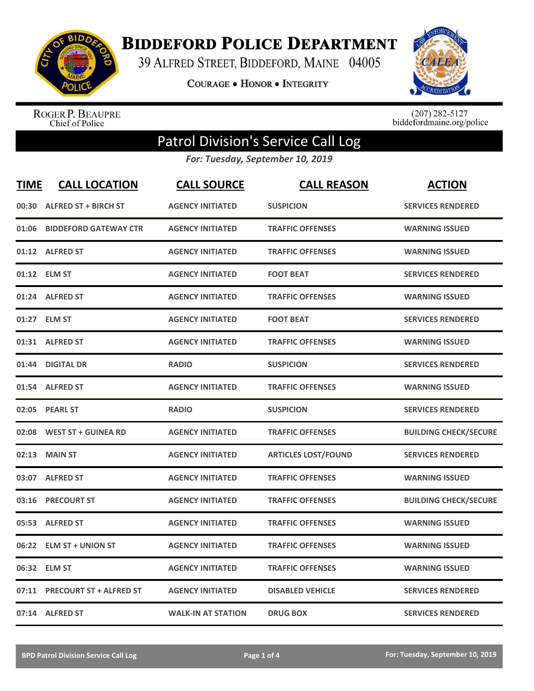

**BIDDEFORD POLICE DEPARTMENT** 

39 ALFRED STREET, BIDDEFORD, MAINE 04005

**COURAGE . HONOR . INTEGRITY** 



ROGER P. BEAUPRE<br>Chief of Police

 $(207)$  282-5127<br>biddefordmaine.org/police

## Patrol Division's Service Call Log

*For: Tuesday, September 10, 2019*

| <b>TIME</b> | <b>CALL LOCATION</b>           | <b>CALL SOURCE</b>        | <b>CALL REASON</b>         | <b>ACTION</b>                |
|-------------|--------------------------------|---------------------------|----------------------------|------------------------------|
| 00:30       | <b>ALFRED ST + BIRCH ST</b>    | <b>AGENCY INITIATED</b>   | <b>SUSPICION</b>           | <b>SERVICES RENDERED</b>     |
| 01:06       | <b>BIDDEFORD GATEWAY CTR</b>   | <b>AGENCY INITIATED</b>   | <b>TRAFFIC OFFENSES</b>    | <b>WARNING ISSUED</b>        |
|             | 01:12 ALFRED ST                | <b>AGENCY INITIATED</b>   | <b>TRAFFIC OFFENSES</b>    | <b>WARNING ISSUED</b>        |
|             | 01:12 ELM ST                   | <b>AGENCY INITIATED</b>   | <b>FOOT BEAT</b>           | <b>SERVICES RENDERED</b>     |
|             | 01:24 ALFRED ST                | <b>AGENCY INITIATED</b>   | <b>TRAFFIC OFFENSES</b>    | <b>WARNING ISSUED</b>        |
|             | 01:27 ELM ST                   | <b>AGENCY INITIATED</b>   | <b>FOOT BEAT</b>           | <b>SERVICES RENDERED</b>     |
|             | 01:31 ALFRED ST                | <b>AGENCY INITIATED</b>   | <b>TRAFFIC OFFENSES</b>    | <b>WARNING ISSUED</b>        |
| 01:44       | <b>DIGITAL DR</b>              | <b>RADIO</b>              | <b>SUSPICION</b>           | <b>SERVICES RENDERED</b>     |
|             | 01:54 ALFRED ST                | <b>AGENCY INITIATED</b>   | <b>TRAFFIC OFFENSES</b>    | <b>WARNING ISSUED</b>        |
| 02:05       | <b>PEARL ST</b>                | <b>RADIO</b>              | <b>SUSPICION</b>           | <b>SERVICES RENDERED</b>     |
|             | 02:08 WEST ST + GUINEA RD      | <b>AGENCY INITIATED</b>   | <b>TRAFFIC OFFENSES</b>    | <b>BUILDING CHECK/SECURE</b> |
| 02:13       | <b>MAIN ST</b>                 | <b>AGENCY INITIATED</b>   | <b>ARTICLES LOST/FOUND</b> | <b>SERVICES RENDERED</b>     |
|             | 03:07 ALFRED ST                | <b>AGENCY INITIATED</b>   | <b>TRAFFIC OFFENSES</b>    | <b>WARNING ISSUED</b>        |
| 03:16       | <b>PRECOURT ST</b>             | <b>AGENCY INITIATED</b>   | <b>TRAFFIC OFFENSES</b>    | <b>BUILDING CHECK/SECURE</b> |
|             | 05:53 ALFRED ST                | <b>AGENCY INITIATED</b>   | <b>TRAFFIC OFFENSES</b>    | <b>WARNING ISSUED</b>        |
| 06:22       | <b>ELM ST + UNION ST</b>       | <b>AGENCY INITIATED</b>   | <b>TRAFFIC OFFENSES</b>    | <b>WARNING ISSUED</b>        |
|             | 06:32 ELM ST                   | <b>AGENCY INITIATED</b>   | <b>TRAFFIC OFFENSES</b>    | <b>WARNING ISSUED</b>        |
| 07:11       | <b>PRECOURT ST + ALFRED ST</b> | <b>AGENCY INITIATED</b>   | <b>DISABLED VEHICLE</b>    | <b>SERVICES RENDERED</b>     |
|             | 07:14 ALFRED ST                | <b>WALK-IN AT STATION</b> | <b>DRUG BOX</b>            | <b>SERVICES RENDERED</b>     |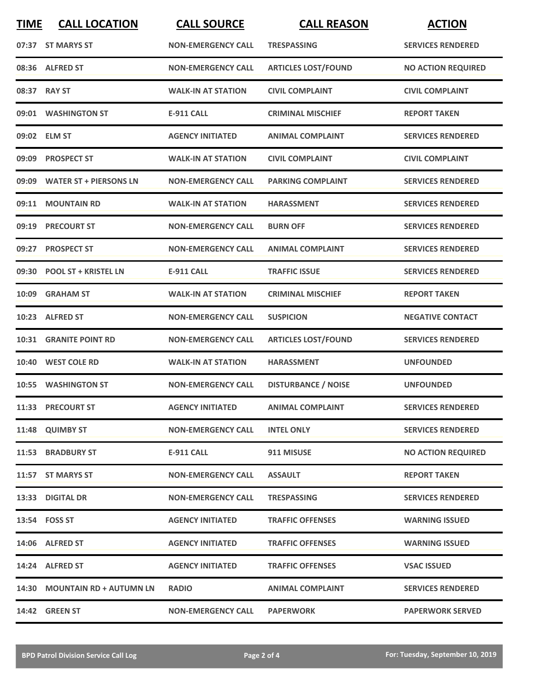| <b>TIME</b> | <b>CALL LOCATION</b>          | <b>CALL SOURCE</b>        | <b>CALL REASON</b>         | <b>ACTION</b>             |
|-------------|-------------------------------|---------------------------|----------------------------|---------------------------|
|             | 07:37 ST MARYS ST             | <b>NON-EMERGENCY CALL</b> | <b>TRESPASSING</b>         | <b>SERVICES RENDERED</b>  |
|             | 08:36 ALFRED ST               | <b>NON-EMERGENCY CALL</b> | <b>ARTICLES LOST/FOUND</b> | <b>NO ACTION REQUIRED</b> |
|             | 08:37 RAY ST                  | <b>WALK-IN AT STATION</b> | <b>CIVIL COMPLAINT</b>     | <b>CIVIL COMPLAINT</b>    |
|             | 09:01 WASHINGTON ST           | <b>E-911 CALL</b>         | <b>CRIMINAL MISCHIEF</b>   | <b>REPORT TAKEN</b>       |
|             | 09:02 ELM ST                  | <b>AGENCY INITIATED</b>   | <b>ANIMAL COMPLAINT</b>    | <b>SERVICES RENDERED</b>  |
|             | 09:09 PROSPECT ST             | <b>WALK-IN AT STATION</b> | <b>CIVIL COMPLAINT</b>     | <b>CIVIL COMPLAINT</b>    |
|             | 09:09 WATER ST + PIERSONS LN  | <b>NON-EMERGENCY CALL</b> | <b>PARKING COMPLAINT</b>   | <b>SERVICES RENDERED</b>  |
|             | 09:11 MOUNTAIN RD             | <b>WALK-IN AT STATION</b> | <b>HARASSMENT</b>          | <b>SERVICES RENDERED</b>  |
|             | 09:19 PRECOURT ST             | <b>NON-EMERGENCY CALL</b> | <b>BURN OFF</b>            | <b>SERVICES RENDERED</b>  |
|             | 09:27 PROSPECT ST             | <b>NON-EMERGENCY CALL</b> | <b>ANIMAL COMPLAINT</b>    | <b>SERVICES RENDERED</b>  |
|             | 09:30 POOL ST + KRISTEL LN    | <b>E-911 CALL</b>         | <b>TRAFFIC ISSUE</b>       | <b>SERVICES RENDERED</b>  |
| 10:09       | <b>GRAHAM ST</b>              | <b>WALK-IN AT STATION</b> | <b>CRIMINAL MISCHIEF</b>   | <b>REPORT TAKEN</b>       |
|             | 10:23 ALFRED ST               | <b>NON-EMERGENCY CALL</b> | <b>SUSPICION</b>           | <b>NEGATIVE CONTACT</b>   |
| 10:31       | <b>GRANITE POINT RD</b>       | <b>NON-EMERGENCY CALL</b> | <b>ARTICLES LOST/FOUND</b> | <b>SERVICES RENDERED</b>  |
| 10:40       | <b>WEST COLE RD</b>           | <b>WALK-IN AT STATION</b> | <b>HARASSMENT</b>          | <b>UNFOUNDED</b>          |
|             | 10:55 WASHINGTON ST           | <b>NON-EMERGENCY CALL</b> | <b>DISTURBANCE / NOISE</b> | <b>UNFOUNDED</b>          |
|             | 11:33 PRECOURT ST             | <b>AGENCY INITIATED</b>   | <b>ANIMAL COMPLAINT</b>    | <b>SERVICES RENDERED</b>  |
|             | 11:48 QUIMBY ST               | <b>NON-EMERGENCY CALL</b> | <b>INTEL ONLY</b>          | <b>SERVICES RENDERED</b>  |
|             | 11:53 BRADBURY ST             | E-911 CALL                | 911 MISUSE                 | <b>NO ACTION REQUIRED</b> |
|             | 11:57 ST MARYS ST             | <b>NON-EMERGENCY CALL</b> | <b>ASSAULT</b>             | <b>REPORT TAKEN</b>       |
|             | 13:33 DIGITAL DR              | <b>NON-EMERGENCY CALL</b> | <b>TRESPASSING</b>         | <b>SERVICES RENDERED</b>  |
|             | 13:54 FOSS ST                 | <b>AGENCY INITIATED</b>   | <b>TRAFFIC OFFENSES</b>    | <b>WARNING ISSUED</b>     |
|             | 14:06 ALFRED ST               | <b>AGENCY INITIATED</b>   | <b>TRAFFIC OFFENSES</b>    | <b>WARNING ISSUED</b>     |
|             | 14:24 ALFRED ST               | <b>AGENCY INITIATED</b>   | <b>TRAFFIC OFFENSES</b>    | <b>VSAC ISSUED</b>        |
|             | 14:30 MOUNTAIN RD + AUTUMN LN | <b>RADIO</b>              | <b>ANIMAL COMPLAINT</b>    | <b>SERVICES RENDERED</b>  |
|             | <b>14:42 GREEN ST</b>         | <b>NON-EMERGENCY CALL</b> | <b>PAPERWORK</b>           | <b>PAPERWORK SERVED</b>   |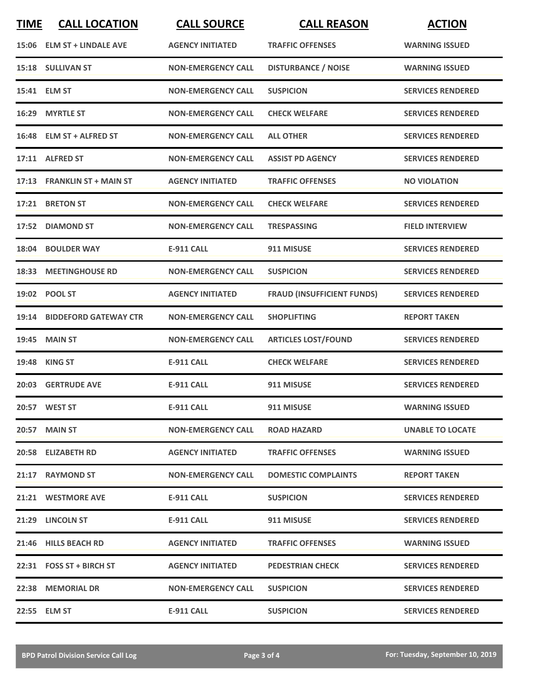| <b>TIME</b> | <b>CALL LOCATION</b>         | <b>CALL SOURCE</b>        | <b>CALL REASON</b>                | <b>ACTION</b>            |
|-------------|------------------------------|---------------------------|-----------------------------------|--------------------------|
|             | 15:06 ELM ST + LINDALE AVE   | <b>AGENCY INITIATED</b>   | <b>TRAFFIC OFFENSES</b>           | <b>WARNING ISSUED</b>    |
|             | 15:18 SULLIVAN ST            | <b>NON-EMERGENCY CALL</b> | <b>DISTURBANCE / NOISE</b>        | <b>WARNING ISSUED</b>    |
|             | 15:41 ELM ST                 | <b>NON-EMERGENCY CALL</b> | <b>SUSPICION</b>                  | <b>SERVICES RENDERED</b> |
|             | 16:29 MYRTLE ST              | <b>NON-EMERGENCY CALL</b> | <b>CHECK WELFARE</b>              | <b>SERVICES RENDERED</b> |
|             | 16:48 ELM ST + ALFRED ST     | <b>NON-EMERGENCY CALL</b> | <b>ALL OTHER</b>                  | <b>SERVICES RENDERED</b> |
|             | 17:11 ALFRED ST              | <b>NON-EMERGENCY CALL</b> | <b>ASSIST PD AGENCY</b>           | <b>SERVICES RENDERED</b> |
|             | 17:13 FRANKLIN ST + MAIN ST  | <b>AGENCY INITIATED</b>   | <b>TRAFFIC OFFENSES</b>           | <b>NO VIOLATION</b>      |
|             | 17:21 BRETON ST              | <b>NON-EMERGENCY CALL</b> | <b>CHECK WELFARE</b>              | <b>SERVICES RENDERED</b> |
|             | 17:52 DIAMOND ST             | <b>NON-EMERGENCY CALL</b> | <b>TRESPASSING</b>                | <b>FIELD INTERVIEW</b>   |
|             | 18:04 BOULDER WAY            | <b>E-911 CALL</b>         | 911 MISUSE                        | <b>SERVICES RENDERED</b> |
|             | 18:33 MEETINGHOUSE RD        | <b>NON-EMERGENCY CALL</b> | <b>SUSPICION</b>                  | <b>SERVICES RENDERED</b> |
|             | 19:02 POOL ST                | <b>AGENCY INITIATED</b>   | <b>FRAUD (INSUFFICIENT FUNDS)</b> | <b>SERVICES RENDERED</b> |
| 19:14       | <b>BIDDEFORD GATEWAY CTR</b> | <b>NON-EMERGENCY CALL</b> | <b>SHOPLIFTING</b>                | <b>REPORT TAKEN</b>      |
| 19:45       | <b>MAIN ST</b>               | <b>NON-EMERGENCY CALL</b> | <b>ARTICLES LOST/FOUND</b>        | <b>SERVICES RENDERED</b> |
|             | 19:48 KING ST                | <b>E-911 CALL</b>         | <b>CHECK WELFARE</b>              | <b>SERVICES RENDERED</b> |
|             | 20:03 GERTRUDE AVE           | <b>E-911 CALL</b>         | 911 MISUSE                        | <b>SERVICES RENDERED</b> |
|             | 20:57 WEST ST                | <b>E-911 CALL</b>         | 911 MISUSE                        | <b>WARNING ISSUED</b>    |
|             | <b>20:57 MAIN ST</b>         | <b>NON-EMERGENCY CALL</b> | <b>ROAD HAZARD</b>                | <b>UNABLE TO LOCATE</b>  |
|             | 20:58 ELIZABETH RD           | <b>AGENCY INITIATED</b>   | <b>TRAFFIC OFFENSES</b>           | <b>WARNING ISSUED</b>    |
|             | 21:17 RAYMOND ST             | <b>NON-EMERGENCY CALL</b> | <b>DOMESTIC COMPLAINTS</b>        | <b>REPORT TAKEN</b>      |
|             | 21:21 WESTMORE AVE           | E-911 CALL                | <b>SUSPICION</b>                  | <b>SERVICES RENDERED</b> |
|             | 21:29 LINCOLN ST             | E-911 CALL                | 911 MISUSE                        | <b>SERVICES RENDERED</b> |
|             | 21:46 HILLS BEACH RD         | <b>AGENCY INITIATED</b>   | <b>TRAFFIC OFFENSES</b>           | <b>WARNING ISSUED</b>    |
|             | 22:31 FOSS ST + BIRCH ST     | <b>AGENCY INITIATED</b>   | <b>PEDESTRIAN CHECK</b>           | <b>SERVICES RENDERED</b> |
|             | 22:38 MEMORIAL DR            | <b>NON-EMERGENCY CALL</b> | <b>SUSPICION</b>                  | <b>SERVICES RENDERED</b> |
|             | 22:55 ELM ST                 | <b>E-911 CALL</b>         | <b>SUSPICION</b>                  | <b>SERVICES RENDERED</b> |